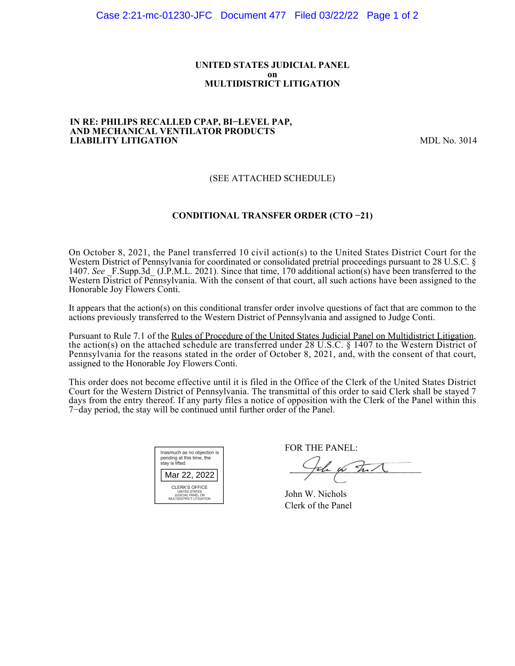#### **UNITED STATES JUDICIAL PANEL on MULTIDISTRICT LITIGATION**

#### **IN RE: PHILIPS RECALLED CPAP, BI−LEVEL PAP, AND MECHANICAL VENTILATOR PRODUCTS LIABILITY LITIGATION** MDL No. 3014

## (SEE ATTACHED SCHEDULE)

### **CONDITIONAL TRANSFER ORDER (CTO −21)**

On October 8, 2021, the Panel transferred 10 civil action(s) to the United States District Court for the Western District of Pennsylvania for coordinated or consolidated pretrial proceedings pursuant to 28 U.S.C. § 1407. See F.Supp.3d (J.P.M.L. 2021). Since that time, 170 additional action(s) have been transferred to the Western District of Pennsylvania. With the consent of that court, all such actions have been assigned to the Honorable Joy Flowers Conti.

It appears that the action(s) on this conditional transfer order involve questions of fact that are common to the actions previously transferred to the Western District of Pennsylvania and assigned to Judge Conti.

Pursuant to Rule 7.1 of the Rules of Procedure of the United States Judicial Panel on Multidistrict Litigation, the action(s) on the attached schedule are transferred under 28 U.S.C. § 1407 to the Western District of Pennsylvania for the reasons stated in the order of October 8, 2021, and, with the consent of that court, assigned to the Honorable Joy Flowers Conti.

This order does not become effective until it is filed in the Office of the Clerk of the United States District Court for the Western District of Pennsylvania. The transmittal of this order to said Clerk shall be stayed 7 days from the entry thereof. If any party files a notice of opposition with the Clerk of the Panel within this 7−day period, the stay will be continued until further order of the Panel.

| Inasmuch as no objection is<br>pending at this time, the<br>stay is lifted.             |  |  |  |  |
|-----------------------------------------------------------------------------------------|--|--|--|--|
| Mar 22, 2022                                                                            |  |  |  |  |
| CLERK'S OFFICE<br><b>UNITED STATES</b><br>JUDICIAL PANEL ON<br>MULTIDISTRICT LITIGATION |  |  |  |  |

FOR THE PANEL:

John for Full

John W. Nichols Clerk of the Panel